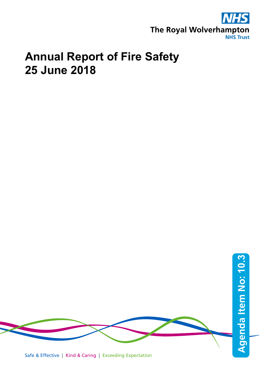

# **Annual Report of Fire Safety 25 June 2018**



Safe & Effective | Kind & Caring | Exceeding Expectation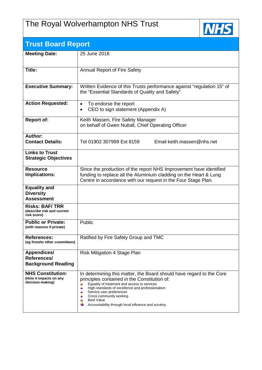# The Royal Wolverhampton NHS Trust



| <b>Trust Board Report</b>                                              |                                                                                                                                                                                                                                                                                                                                                                                 |  |  |  |
|------------------------------------------------------------------------|---------------------------------------------------------------------------------------------------------------------------------------------------------------------------------------------------------------------------------------------------------------------------------------------------------------------------------------------------------------------------------|--|--|--|
| <b>Meeting Date:</b>                                                   | 25 June 2018                                                                                                                                                                                                                                                                                                                                                                    |  |  |  |
| Title:                                                                 | <b>Annual Report of Fire Safety</b>                                                                                                                                                                                                                                                                                                                                             |  |  |  |
| <b>Executive Summary:</b>                                              | Written Evidence of this Trusts performance against "regulation 15" of<br>the "Essential Standards of Quality and Safety".                                                                                                                                                                                                                                                      |  |  |  |
| <b>Action Requested:</b>                                               | To endorse the report<br>$\bullet$<br>CEO to sign statement (Appendix A)                                                                                                                                                                                                                                                                                                        |  |  |  |
| <b>Report of:</b>                                                      | Keith Massen, Fire Safety Manager<br>on behalf of Gwen Nuttall, Chief Operating Officer                                                                                                                                                                                                                                                                                         |  |  |  |
| Author:<br><b>Contact Details:</b>                                     | Email keith.massen@nhs.net<br>Tel 01902 307999 Ext 8159                                                                                                                                                                                                                                                                                                                         |  |  |  |
| <b>Links to Trust</b><br><b>Strategic Objectives</b>                   |                                                                                                                                                                                                                                                                                                                                                                                 |  |  |  |
| <b>Resource</b><br>Implications:                                       | Since the production of the report NHS Improvement have identified<br>funding to replace all the Aluminium cladding on the Heart & Lung<br>Centre in accordance with our request in the Four Stage Plan.                                                                                                                                                                        |  |  |  |
| <b>Equality and</b><br><b>Diversity</b><br><b>Assessment</b>           |                                                                                                                                                                                                                                                                                                                                                                                 |  |  |  |
| <b>Risks: BAF/TRR</b><br>(describe risk and current<br>risk score)     |                                                                                                                                                                                                                                                                                                                                                                                 |  |  |  |
| <b>Public or Private:</b><br>(with reasons if private)                 | Public                                                                                                                                                                                                                                                                                                                                                                          |  |  |  |
| <b>References:</b><br>(eg from/to other committees)                    | Ratified by Fire Safety Group and TMC                                                                                                                                                                                                                                                                                                                                           |  |  |  |
| <b>Appendices/</b><br>References/<br><b>Background Reading</b>         | Risk Mitigation 4 Stage Plan                                                                                                                                                                                                                                                                                                                                                    |  |  |  |
| <b>NHS Constitution:</b><br>(How it impacts on any<br>decision-making) | In determining this matter, the Board should have regard to the Core<br>principles contained in the Constitution of:<br>Equality of treatment and access to services<br>4<br>4<br>High standards of excellence and professionalism<br>Service user preferences<br>4<br>Cross community working<br><b>Best Value</b><br>4<br>Accountability through local influence and scrutiny |  |  |  |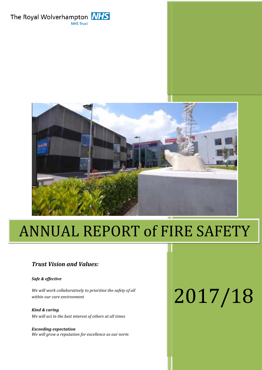The Royal Wolverhampton **NHS NHS Trust** 



# ANNUAL REPORT of FIRE SAFETY

#### *Trust Vision and Values:*

*Safe & effective*

*We will work collaboratively to prioritise the safety of all within our care environment*

*Kind & caring We will act in the best interest of others at all times*

*Exceeding expectation We will grow a reputation for excellence as our norm*

# 2017/18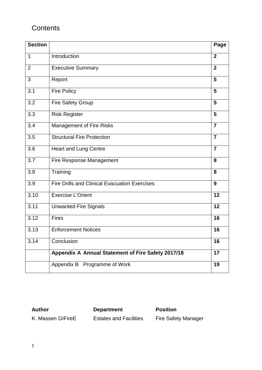# **Contents**

| <b>Section</b> |                                                      | Page           |
|----------------|------------------------------------------------------|----------------|
| 1              | Introduction                                         | $\overline{2}$ |
| $\overline{2}$ | <b>Executive Summary</b>                             | $\overline{2}$ |
| 3              | Report                                               | 5              |
| 3.1            | <b>Fire Policy</b>                                   | 5              |
| 3.2            | Fire Safety Group                                    | 5              |
| 3.3            | <b>Risk Register</b>                                 | $5\phantom{1}$ |
| 3.4            | <b>Management of Fire Risks</b>                      | $\overline{7}$ |
| 3.5            | <b>Structural Fire Protection</b>                    | $\overline{7}$ |
| 3.6            | <b>Heart and Lung Centre</b>                         | $\overline{7}$ |
| 3.7            | Fire Response Management                             | 8              |
| 3.8            | Training                                             | 8              |
| 3.9            | <b>Fire Drills and Clinical Evacuation Exercises</b> | 9              |
| 3.10           | <b>Exercise L'Orient</b>                             | 12             |
| 3.11           | <b>Unwanted Fire Signals</b>                         | 12             |
| 3.12           | <b>Fires</b>                                         | 16             |
| 3.13           | <b>Enforcement Notices</b>                           | 16             |
| 3.14           | Conclusion                                           | 16             |
|                | Appendix A Annual Statement of Fire Safety 2017/18   | 17             |
|                | Appendix B Programme of Work                         | 19             |

**Author Department Position** K. Massen GIFireE Estates and Facilities Fire Safety Manager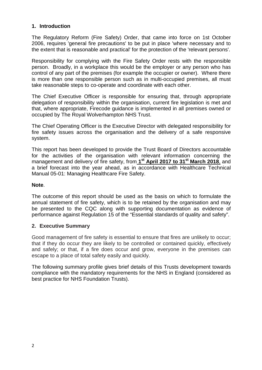#### **1. Introduction**

The Regulatory Reform (Fire Safety) Order, that came into force on 1st October 2006, requires 'general fire precautions' to be put in place 'where necessary and to the extent that is reasonable and practical' for the protection of the 'relevant persons'.

Responsibility for complying with the Fire Safety Order rests with the responsible person. Broadly, in a workplace this would be the employer or any person who has control of any part of the premises (for example the occupier or owner). Where there is more than one responsible person such as in multi-occupied premises, all must take reasonable steps to co-operate and coordinate with each other.

The Chief Executive Officer is responsible for ensuring that, through appropriate delegation of responsibility within the organisation, current fire legislation is met and that, where appropriate, Firecode guidance is implemented in all premises owned or occupied by The Royal Wolverhampton NHS Trust.

The Chief Operating Officer is the Executive Director with delegated responsibility for fire safety issues across the organisation and the delivery of a safe responsive system.

This report has been developed to provide the Trust Board of Directors accountable for the activities of the organisation with relevant information concerning the management and delivery of fire safety, from **1st April 2017 to 31st March 2018**, and a brief forecast into the year ahead, as in accordance with Healthcare Technical Manual 05-01: Managing Healthcare Fire Safety.

#### **Note**.

The outcome of this report should be used as the basis on which to formulate the annual statement of fire safety, which is to be retained by the organisation and may be presented to the CQC along with supporting documentation as evidence of performance against Regulation 15 of the "Essential standards of quality and safety".

#### **2. Executive Summary**

Good management of fire safety is essential to ensure that fires are unlikely to occur; that if they do occur they are likely to be controlled or contained quickly, effectively and safely; or that, if a fire does occur and grow, everyone in the premises can escape to a place of total safety easily and quickly.

The following summary profile gives brief details of this Trusts development towards compliance with the mandatory requirements for the NHS in England (considered as best practice for NHS Foundation Trusts).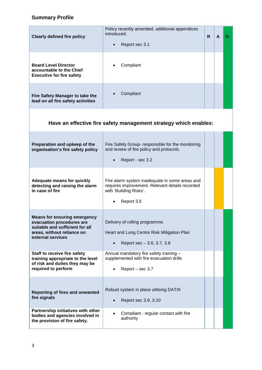#### **Summary Profile**

| <b>Clearly defined fire policy</b>                                                                                                                     | Policy recently amended, additional appendices<br>introduced.<br>Report sec 3.1                                                           | R. | A | G |
|--------------------------------------------------------------------------------------------------------------------------------------------------------|-------------------------------------------------------------------------------------------------------------------------------------------|----|---|---|
| <b>Board Level Director</b><br>accountable to the Chief<br><b>Executive for fire safety</b>                                                            | Compliant                                                                                                                                 |    |   |   |
| Fire Safety Manager to take the<br>lead on all fire safety activities                                                                                  | Compliant                                                                                                                                 |    |   |   |
|                                                                                                                                                        | Have an effective fire safety management strategy which enables:                                                                          |    |   |   |
| Preparation and upkeep of the<br>organisation's fire safety policy                                                                                     | Fire Safety Group- responsible for the monitoring<br>and review of fire policy and protocols.<br>Report - sec 3.2                         |    |   |   |
| <b>Adequate means for quickly</b><br>detecting and raising the alarm<br>in case of fire                                                                | Fire alarm system inadequate in some areas and<br>requires improvement. Relevant details recorded<br>with 'Building Risks'.<br>Report 3.5 |    |   |   |
| <b>Means for ensuring emergency</b><br>evacuation procedures are<br>suitable and sufficient for all<br>areas, without reliance on<br>external services | Delivery of rolling programme.<br>Heart and Lung Centre Risk Mitigation Plan<br>Report sec $-3.6, 3.7, 3.8$                               |    |   |   |
| Staff to receive fire safety<br>training appropriate to the level<br>of risk and duties they may be<br>required to perform                             | Annual mandatory fire safety training -<br>supplemented with fire evacuation drills<br>Report - sec 3.7                                   |    |   |   |
| <b>Reporting of fires and unwanted</b><br>fire signals                                                                                                 | Robust system in place utilising DATIX<br>Report sec 3.9, 3.10                                                                            |    |   |   |
| Partnership initiatives with other<br>bodies and agencies involved in<br>the provision of fire safety.                                                 | Compliant - regular contact with fire<br>authority                                                                                        |    |   |   |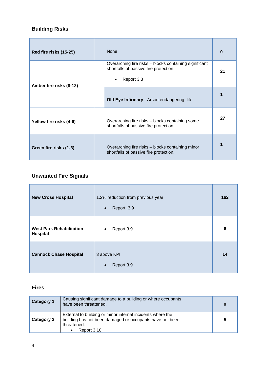# **Building Risks**

| Red fire risks (15-25)                                                                                               | <b>None</b>                                                                                                   |    |
|----------------------------------------------------------------------------------------------------------------------|---------------------------------------------------------------------------------------------------------------|----|
| Amber fire risks (8-12)                                                                                              | Overarching fire risks – blocks containing significant<br>shortfalls of passive fire protection<br>Report 3.3 | 21 |
|                                                                                                                      | Old Eye Infirmary - Arson endangering life                                                                    |    |
| Yellow fire risks (4-6)                                                                                              | Overarching fire risks – blocks containing some<br>shortfalls of passive fire protection.                     |    |
| Overarching fire risks - blocks containing minor<br>Green fire risks (1-3)<br>shortfalls of passive fire protection. |                                                                                                               | 1  |

## **Unwanted Fire Signals**

| <b>New Cross Hospital</b>                   | 1.2% reduction from previous year<br>Report 3.9<br>$\bullet$ | 162 |
|---------------------------------------------|--------------------------------------------------------------|-----|
| <b>West Park Rehabilitation</b><br>Hospital | Report 3.9<br>$\bullet$                                      | 6   |
| <b>Cannock Chase Hospital</b>               | 3 above KPI<br>Report 3.9<br>$\bullet$                       | 14  |

## **Fires**

| <b>Category 1</b> | Causing significant damage to a building or where occupants<br>have been threatened.                                                                 | 0 |
|-------------------|------------------------------------------------------------------------------------------------------------------------------------------------------|---|
| <b>Category 2</b> | External to building or minor internal incidents where the<br>building has not been damaged or occupants have not been<br>threatened.<br>Report 3.10 | 5 |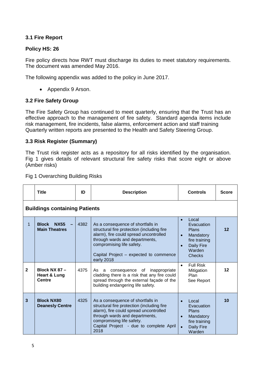#### **3.1 Fire Report**

#### **Policy HS: 26**

Fire policy directs how RWT must discharge its duties to meet statutory requirements. The document was amended May 2016.

The following appendix was added to the policy in June 2017.

• Appendix 9 Arson.

#### **3.2 Fire Safety Group**

The Fire Safety Group has continued to meet quarterly, ensuring that the Trust has an effective approach to the management of fire safety. Standard agenda items include risk management, fire incidents, false alarms, enforcement action and staff training Quarterly written reports are presented to the Health and Safety Steering Group.

#### **3.3 Risk Register (Summary)**

The Trust risk register acts as a repository for all risks identified by the organisation. Fig 1 gives details of relevant structural fire safety risks that score eight or above (Amber risks)

|              | <b>Title</b>                                        | ID   | <b>Description</b>                                                                                                                                                                                                                               | <b>Controls</b>                                                                                                                      | <b>Score</b> |
|--------------|-----------------------------------------------------|------|--------------------------------------------------------------------------------------------------------------------------------------------------------------------------------------------------------------------------------------------------|--------------------------------------------------------------------------------------------------------------------------------------|--------------|
|              | <b>Buildings containing Patients</b>                |      |                                                                                                                                                                                                                                                  |                                                                                                                                      |              |
| 1            | <b>Block</b><br><b>NX55</b><br><b>Main Theatres</b> | 4382 | As a consequence of shortfalls in<br>structural fire protection (including fire<br>alarm), fire could spread uncontrolled<br>through wards and departments,<br>compromising life safety.<br>Capital Project – expected to commence<br>early 2018 | Local<br>$\bullet$<br>Evacuation<br>Plans<br>Mandatory<br>$\bullet$<br>fire training<br><b>Daily Fire</b><br>Warden<br><b>Checks</b> | $12 \,$      |
| $\mathbf{2}$ | Block NX $87-$<br><b>Heart &amp; Lung</b><br>Centre | 4375 | As a<br>consequence of inappropriate<br>cladding there is a risk that any fire could<br>spread through the external façade of the<br>building endangering life safety.                                                                           | <b>Full Risk</b><br>$\bullet$<br>Mitigation<br>Plan<br>See Report                                                                    | $12 \,$      |
| 3            | <b>Block NX80</b><br><b>Deanesly Centre</b>         | 4325 | As a consequence of shortfalls in<br>structural fire protection (including fire<br>alarm), fire could spread uncontrolled<br>through wards and departments,<br>compromising life safety.<br>Capital Project - due to complete April<br>2018      | Local<br>Evacuation<br><b>Plans</b><br>Mandatory<br>$\bullet$<br>fire training<br><b>Daily Fire</b><br>$\bullet$<br>Warden           | 10           |

Fig 1 Overarching Building Risks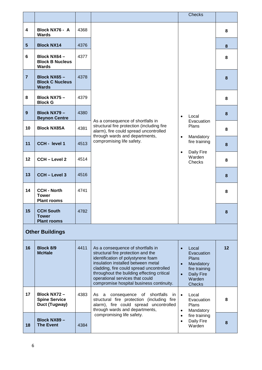|                         |                                                          |      |                                                                                                                                                                                                                                                                                                                                                 | <b>Checks</b>                                                                                                                                            |    |
|-------------------------|----------------------------------------------------------|------|-------------------------------------------------------------------------------------------------------------------------------------------------------------------------------------------------------------------------------------------------------------------------------------------------------------------------------------------------|----------------------------------------------------------------------------------------------------------------------------------------------------------|----|
| $\overline{\mathbf{4}}$ | Block NX76 - A<br><b>Wards</b>                           | 4368 |                                                                                                                                                                                                                                                                                                                                                 | 8                                                                                                                                                        |    |
| $5\phantom{.0}$         | <b>Block NX14</b>                                        | 4376 |                                                                                                                                                                                                                                                                                                                                                 |                                                                                                                                                          | 8  |
| $6\phantom{1}$          | Block NX64 -<br><b>Block B Nucleus</b><br><b>Wards</b>   | 4377 |                                                                                                                                                                                                                                                                                                                                                 |                                                                                                                                                          | 8  |
| $\overline{7}$          | Block NX65-<br><b>Block C Nucleus</b><br><b>Wards</b>    | 4378 |                                                                                                                                                                                                                                                                                                                                                 |                                                                                                                                                          | 8  |
| 8                       | Block NX75-<br><b>Block G</b>                            | 4379 |                                                                                                                                                                                                                                                                                                                                                 |                                                                                                                                                          | 8  |
| 9                       | Block NX79-<br><b>Beynon Centre</b>                      | 4380 | As a consequence of shortfalls in                                                                                                                                                                                                                                                                                                               | Local<br>$\bullet$<br>Evacuation                                                                                                                         | 8  |
| 10                      | <b>Block NX85A</b>                                       | 4381 | structural fire protection (including fire<br>alarm), fire could spread uncontrolled<br>through wards and departments,                                                                                                                                                                                                                          | Plans<br>$\bullet$<br>Mandatory                                                                                                                          | 8  |
| 11                      | CCH - level 1                                            | 4513 | compromising life safety.                                                                                                                                                                                                                                                                                                                       | fire training<br>Daily Fire<br>$\bullet$                                                                                                                 | 8  |
| 12                      | <b>CCH - Level 2</b>                                     | 4514 |                                                                                                                                                                                                                                                                                                                                                 | Warden<br>Checks                                                                                                                                         | 8  |
| 13                      | <b>CCH - Level 3</b>                                     | 4516 |                                                                                                                                                                                                                                                                                                                                                 |                                                                                                                                                          | 8  |
| 14                      | <b>CCH - North</b><br><b>Tower</b><br><b>Plant rooms</b> | 4741 |                                                                                                                                                                                                                                                                                                                                                 |                                                                                                                                                          | 8  |
| 15                      | <b>CCH South</b><br><b>Tower</b><br><b>Plant rooms</b>   | 4782 |                                                                                                                                                                                                                                                                                                                                                 |                                                                                                                                                          | 8  |
|                         | <b>Other Buildings</b>                                   |      |                                                                                                                                                                                                                                                                                                                                                 |                                                                                                                                                          |    |
| 16                      | <b>Block 8/9</b><br><b>McHale</b>                        | 4411 | As a consequence of shortfalls in<br>structural fire protection and the<br>identification of polystyrene foam<br>insulation installed between metal<br>cladding, fire could spread uncontrolled<br>throughout the building effecting critical<br>operational services that could<br>compromise hospital business continuity.                    | Local<br>$\bullet$<br>Evacuation<br><b>Plans</b><br>Mandatory<br>$\bullet$<br>fire training<br><b>Daily Fire</b><br>$\bullet$<br>Warden<br><b>Checks</b> | 12 |
| 17                      | Block NX72-<br><b>Spine Service</b><br>Duct (Tugway)     | 4383 | shortfalls<br>As a<br>consequence<br>in.<br>of<br>$\bullet$<br>Local<br>structural fire protection (including fire<br>Evacuation<br>alarm), fire could spread uncontrolled<br>Plans<br>through wards and departments,<br>Mandatory<br>$\bullet$<br>compromising life safety.<br>fire training<br>$\bullet$<br>Daily Fire<br>$\bullet$<br>Warden |                                                                                                                                                          | 8  |
| 18                      | Block NX89-<br><b>The Event</b>                          | 4384 |                                                                                                                                                                                                                                                                                                                                                 |                                                                                                                                                          | 8  |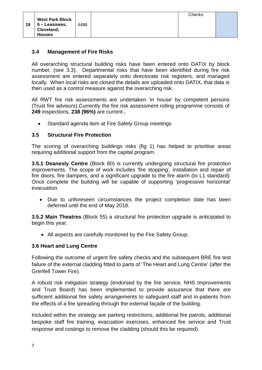#### **3.4 Management of Fire Risks**

All overarching structural building risks have been entered onto DATIX by block number, (see 3.3). Departmental risks that have been identified during fire risk assessment are entered separately onto directorate risk registers, and managed locally. When local risks are closed the details are uploaded onto DATIX, that data is then used as a control measure against the overarching risk.

All RWT fire risk assessments are undertaken 'in house' by competent persons (Trust fire advisors).Currently the fire risk assessment rolling programme consists of **249** inspections, **238 (96%)** are current **.**

• Standard agenda item at Fire Safety Group meetings

#### **3.5 Structural Fire Protection**

The scoring of overarching buildings risks (fig 1) has helped to prioritise areas requiring additional support from the capital program.

**3.5.1 Deanesly Centre** (Block 80) is currently undergoing structural fire protection improvements. The scope of work includes 'fire stopping', installation and repair of fire doors, fire dampers, and a significant upgrade to the fire alarm (to L1 standard). Once complete the building will be capable of supporting 'progressive horizontal' evacuation.

• Due to unforeseen circumstances the project completion date has been deferred until the end of May 2018.

**3.5.2 Main Theatres** (Block 55) a structural fire protection upgrade is anticipated to begin this year.

• All aspects are carefully monitored by the Fire Safety Group.

#### **3.6 Heart and Lung Centre**

Following the outcome of urgent fire safety checks and the subsequent BRE fire test failure of the external cladding fitted to parts of 'The Heart and Lung Centre' (after the Grenfell Tower Fire).

A robust risk mitigation strategy (endorsed by the fire service, NHS Improvements and Trust Board) has been implemented to provide assurance that there are sufficient additional fire safety arrangements to safeguard staff and in-patients from the effects of a fire spreading through the external façade of the building.

Included within the strategy are parking restrictions, additional fire patrols, additional bespoke staff fire training, evacuation exercises, enhanced fire service and Trust response and costings to remove the cladding (should this be required)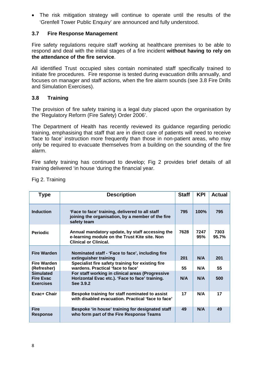• The risk mitigation strategy will continue to operate until the results of the 'Grenfell Tower Public Enquiry' are announced and fully understood.

#### **3.7 Fire Response Management**

Fire safety regulations require staff working at healthcare premises to be able to respond and deal with the initial stages of a fire incident **without having to rely on the attendance of the fire service**.

All identified Trust occupied sites contain nominated staff specifically trained to initiate fire procedures. Fire response is tested during evacuation drills annually, and focuses on manager and staff actions, when the fire alarm sounds (see 3.8 Fire Drills and Simulation Exercises).

#### **3.8 Training**

The provision of fire safety training is a legal duty placed upon the organisation by the 'Regulatory Reform (Fire Safety) Order 2006'.

The Department of Health has recently reviewed its guidance regarding periodic training, emphasising that staff that are in direct care of patients will need to receive 'face to face' instruction more frequently than those in non-patient areas, who may only be required to evacuate themselves from a building on the sounding of the fire alarm.

Fire safety training has continued to develop; Fig 2 provides brief details of all training delivered 'in house 'during the financial year.

| <b>Type</b>                                              | <b>Description</b>                                                                                                               | <b>Staff</b> | <b>KPI</b>  | <b>Actual</b> |
|----------------------------------------------------------|----------------------------------------------------------------------------------------------------------------------------------|--------------|-------------|---------------|
| <b>Induction</b>                                         | 'Face to face' training, delivered to all staff<br>joining the organisation, by a member of the fire<br>safety team              | 795          | 100%        | 795           |
| <b>Periodic</b>                                          | Annual mandatory update, by staff accessing the<br>e-learning module on the Trust Kite site. Non<br><b>Clinical or Clinical.</b> | 7628         | 7247<br>95% | 7303<br>95.7% |
| <b>Fire Warden</b>                                       | Nominated staff - 'Face to face', including fire<br>extinguisher training                                                        | 201          | N/A         | 201           |
| Fire Warden<br>(Refresher)                               | Specialist fire safety training for existing fire<br>wardens. Practical 'face to face'                                           | 55           | N/A         | 55            |
| <b>Simulated</b><br><b>Fire Evac</b><br><b>Exercises</b> | For staff working in clinical areas (Progressive<br>Horizontal Evac etc.). 'Face to face' training.<br>See 3.9.2                 | N/A          | N/A         | 500           |
| Evac+ Chair                                              | Bespoke training for staff nominated to assist<br>with disabled evacuation. Practical 'face to face'                             | 17           | N/A         | 17            |
| <b>Fire</b><br><b>Response</b>                           | Bespoke 'in house' training for designated staff<br>who form part of the Fire Response Teams                                     | 49           | N/A         | 49            |

Fig 2. Training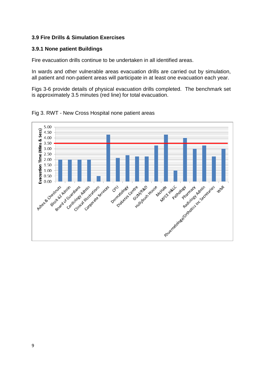#### **3.9 Fire Drills & Simulation Exercises**

#### **3.9.1 None patient Buildings**

Fire evacuation drills continue to be undertaken in all identified areas.

In wards and other vulnerable areas evacuation drills are carried out by simulation, all patient and non-patient areas will participate in at least one evacuation each year.

Figs 3-6 provide details of physical evacuation drills completed. The benchmark set is approximately 3.5 minutes (red line) for total evacuation.

Fig 3. RWT - New Cross Hospital none patient areas

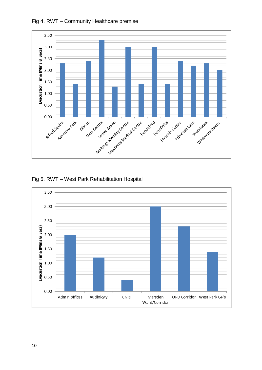

Fig 4. RWT – Community Healthcare premise

#### Fig 5. RWT – West Park Rehabilitation Hospital

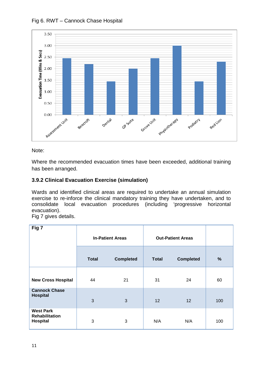



#### Note:

Where the recommended evacuation times have been exceeded, additional training has been arranged.

#### **3.9.2 Clinical Evacuation Exercise (simulation)**

Wards and identified clinical areas are required to undertake an annual simulation exercise to re-inforce the clinical mandatory training they have undertaken, and to consolidate local evacuation procedures (including 'progressive horizontal evacuation).

Fig 7 gives details.

| Fig 7                                                 | <b>In-Patient Areas</b> |                  | <b>Out-Patient Areas</b> |                  |     |
|-------------------------------------------------------|-------------------------|------------------|--------------------------|------------------|-----|
|                                                       | <b>Total</b>            | <b>Completed</b> | <b>Total</b>             | <b>Completed</b> | %   |
| <b>New Cross Hospital</b>                             | 44                      | 21               | 31                       | 24               | 60  |
| <b>Cannock Chase</b><br><b>Hospital</b>               | 3                       | 3                | 12                       | 12               | 100 |
| <b>West Park</b><br><b>Rehabilitation</b><br>Hospital | 3                       | 3                | N/A                      | N/A              | 100 |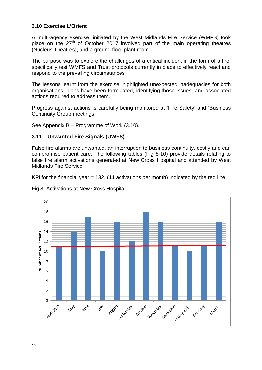#### **3.10 Exercise L'Orient**

A multi-agency exercise, initiated by the West Midlands Fire Service (WMFS) took place on the 27<sup>th</sup> of October 2017 involved part of the main operating theatres (Nucleus Theatres), and a ground floor plant room.

The purpose was to explore the challenges of a critical incident in the form of a fire, specifically test WMFS and Trust protocols currently in place to effectively react and respond to the prevailing circumstances

The lessons learnt from the exercise, highlighted unexpected inadequacies for both organisations, plans have been formulated, identifying those issues, and associated actions required to address them.

Progress against actions is carefully being monitored at 'Fire Safety' and 'Business Continuity Group meetings.

See Appendix B – Programme of Work (3.10).

#### **3.11 Unwanted Fire Signals (UWFS)**

False fire alarms are unwanted, an interruption to business continuity, costly and can compromise patient care. The following tables (Fig 8-10) provide details relating to false fire alarm activations generated at New Cross Hospital and attended by West Midlands Fire Service.

KPI for the financial year = 132, (**11** activations per month) indicated by the red line



Fig 8. Activations at New Cross Hospital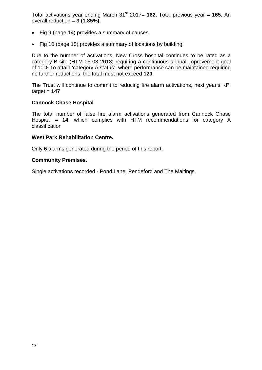Total activations year ending March 31st 2017= **162.** Total previous year **= 165.** An overall reduction = **3 (1.85%).**

- Fig 9 (page 14) provides a summary of causes.
- Fig 10 (page 15) provides a summary of locations by building

Due to the number of activations, New Cross hospital continues to be rated as a category B site (HTM 05-03 2013) requiring a continuous annual improvement goal of 10%.To attain 'category A status', where performance can be maintained requiring no further reductions, the total must not exceed **120**.

The Trust will continue to commit to reducing fire alarm activations, next year's KPI  $\text{target} = 147$ 

#### **Cannock Chase Hospital**

The total number of false fire alarm activations generated from Cannock Chase Hospital = **14**, which complies with HTM recommendations for category A classification

#### **West Park Rehabilitation Centre.**

Only **6** alarms generated during the period of this report.

#### **Community Premises.**

Single activations recorded - Pond Lane, Pendeford and The Maltings.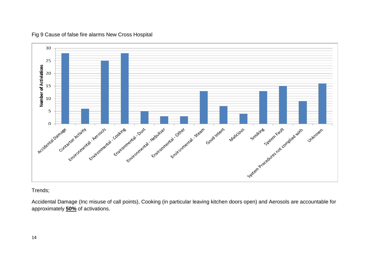

#### Fig 9 Cause of false fire alarms New Cross Hospital

#### Trends;

Accidental Damage (Inc misuse of call points), Cooking (in particular leaving kitchen doors open) and Aerosols are accountable for approximately **50%** of activations.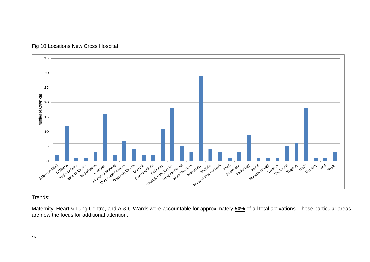

#### Fig 10 Locations New Cross Hospital

Trends:

Maternity, Heart & Lung Centre, and A & C Wards were accountable for approximately **50%** of all total activations. These particular areas are now the focus for additional attention.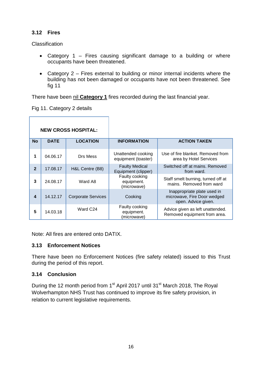#### **3.12 Fires**

**Classification** 

- Category 1 Fires causing significant damage to a building or where occupants have been threatened.
- Category 2 Fires external to building or minor internal incidents where the building has not been damaged or occupants have not been threatened. See fig 11

There have been nil **Category 1** fires recorded during the last financial year.

Fig 11. Category 2 details

| <b>NEW CROSS HOSPITAL:</b> |             |                           |                                              |                                                                                   |
|----------------------------|-------------|---------------------------|----------------------------------------------|-----------------------------------------------------------------------------------|
| <b>No</b>                  | <b>DATE</b> | <b>LOCATION</b>           | <b>INFORMATION</b>                           | <b>ACTION TAKEN</b>                                                               |
| 1                          | 04.06.17    | Drs Mess                  | Unattended cooking<br>equipment (toaster)    | Use of fire blanket. Removed from<br>area by Hotel Services                       |
| $\overline{2}$             | 17.08.17    | H&L Centre (B8)           | <b>Faulty Medical</b><br>Equipment (clipper) | Switched off at mains. Removed<br>from ward.                                      |
| 3                          | 24.08.17    | Ward A8                   | Faulty cooking<br>equipment.<br>(microwave)  | Staff smelt burning, turned off at<br>mains. Removed from ward                    |
| $\boldsymbol{4}$           | 14.12.17    | <b>Corporate Services</b> | Cooking                                      | Inappropriate plate used in<br>microwave, Fire Door wedged<br>open. Advice given. |
| 5                          | 14.03.18    | Ward C24                  | Faulty cooking<br>equipment.<br>(microwave)  | Advice given as left unattended.<br>Removed equipment from area.                  |

Note: All fires are entered onto DATIX.

#### **3.13 Enforcement Notices**

There have been no Enforcement Notices (fire safety related) issued to this Trust during the period of this report.

#### **3.14 Conclusion**

During the 12 month period from 1<sup>st</sup> April 2017 until 31<sup>st</sup> March 2018, The Royal Wolverhampton NHS Trust has continued to improve its fire safety provision, in relation to current legislative requirements.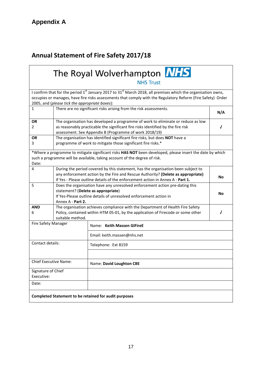# **Annual Statement of Fire Safety 2017/18**

# The Royal Wolverhampton NHS **NHS Trust**

I confirm that for the period 1<sup>st</sup> January 2017 to 31<sup>st</sup> March 2018, all premises which the organisation owns, occupies or manages, have fire risks assessments that comply with the Regulatory Reform (Fire Safety) Order 2005, and (*please tick the appropriate boxes*):

|                                  | 2000, and prease tien the appropriate boxes).                                                                                                                                                                                                           |                                                                                                                                                                                       |  |  |  |  |  |  |
|----------------------------------|---------------------------------------------------------------------------------------------------------------------------------------------------------------------------------------------------------------------------------------------------------|---------------------------------------------------------------------------------------------------------------------------------------------------------------------------------------|--|--|--|--|--|--|
| 1                                |                                                                                                                                                                                                                                                         | There are no significant risks arising from the risk assessments.                                                                                                                     |  |  |  |  |  |  |
| <b>OR</b><br>2                   | The organisation has developed a programme of work to eliminate or reduce as low<br>as reasonably practicable the significant fire risks identified by the fire risk<br>assessment. See Appendix B (Programme of work 2018/19)                          |                                                                                                                                                                                       |  |  |  |  |  |  |
| <b>OR</b><br>3                   | The organisation has identified significant fire risks, but does NOT have a<br>programme of work to mitigate those significant fire risks.*                                                                                                             |                                                                                                                                                                                       |  |  |  |  |  |  |
| Date:                            |                                                                                                                                                                                                                                                         | *Where a programme to mitigate significant risks HAS NOT been developed, please insert the date by which<br>such a programme will be available, taking account of the degree of risk. |  |  |  |  |  |  |
| $\overline{4}$                   | During the period covered by this statement, has the organisation been subject to<br>any enforcement action by the Fire and Rescue Authority? (Delete as appropriate)<br>If Yes - Please outline details of the enforcement action in Annex A - Part 1. |                                                                                                                                                                                       |  |  |  |  |  |  |
| 5                                | Does the organisation have any unresolved enforcement action pre-dating this<br>statement? (Delete as appropriate)<br>If Yes-Please outline details of unresolved enforcement action in<br>Annex A - Part 2.                                            |                                                                                                                                                                                       |  |  |  |  |  |  |
| <b>AND</b><br>6                  | The organisation achieves compliance with the Department of Health Fire Safety<br>Policy, contained within HTM 05-01, by the application of Firecode or some other<br>suitable method.                                                                  |                                                                                                                                                                                       |  |  |  |  |  |  |
| Fire Safety Manager              |                                                                                                                                                                                                                                                         | Name: Keith Massen GIFireE                                                                                                                                                            |  |  |  |  |  |  |
|                                  |                                                                                                                                                                                                                                                         | Email: keith.massen@nhs.net                                                                                                                                                           |  |  |  |  |  |  |
| Contact details:                 |                                                                                                                                                                                                                                                         | Telephone: Ext 8159                                                                                                                                                                   |  |  |  |  |  |  |
| <b>Chief Executive Name:</b>     |                                                                                                                                                                                                                                                         | Name: David Loughton CBE                                                                                                                                                              |  |  |  |  |  |  |
| Signature of Chief<br>Executive: |                                                                                                                                                                                                                                                         |                                                                                                                                                                                       |  |  |  |  |  |  |
| Date:                            |                                                                                                                                                                                                                                                         |                                                                                                                                                                                       |  |  |  |  |  |  |
|                                  |                                                                                                                                                                                                                                                         | Completed Statement to be retained for audit purposes                                                                                                                                 |  |  |  |  |  |  |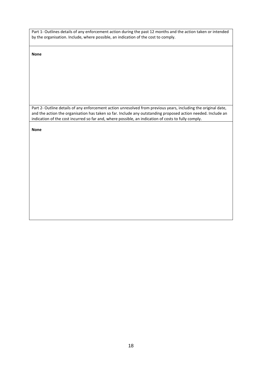Part 1- Outlines details of any enforcement action during the past 12 months and the action taken or intended by the organisation. Include, where possible, an indication of the cost to comply.

**None**

Part 2- Outline details of any enforcement action unresolved from previous years, including the original date, and the action the organisation has taken so far. Include any outstanding proposed action needed. Include an indication of the cost incurred so far and, where possible, an indication of costs to fully comply.

**None**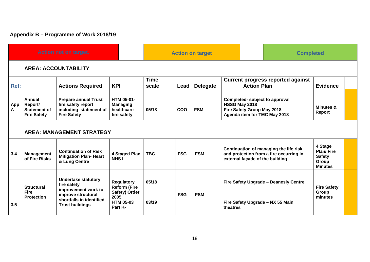# **Appendix B – Programme of Work 2018/19**

| <b>Action not on target.</b> |                                                                       |                                                                                                                                              | <b>Action on target</b>                                                                           |                      |            |                 | <b>Completed</b>                                                                                              |                                         |                                                                         |  |
|------------------------------|-----------------------------------------------------------------------|----------------------------------------------------------------------------------------------------------------------------------------------|---------------------------------------------------------------------------------------------------|----------------------|------------|-----------------|---------------------------------------------------------------------------------------------------------------|-----------------------------------------|-------------------------------------------------------------------------|--|
|                              | <b>AREA: ACCOUNTABILITY</b>                                           |                                                                                                                                              |                                                                                                   |                      |            |                 |                                                                                                               |                                         |                                                                         |  |
| Ref:                         |                                                                       | <b>Actions Required</b>                                                                                                                      | <b>KPI</b>                                                                                        | <b>Time</b><br>scale | Lead       | <b>Delegate</b> | <b>Current progress reported against</b><br><b>Action Plan</b>                                                |                                         | <b>Evidence</b>                                                         |  |
| App  <br>A                   | <b>Annual</b><br>Report/<br><b>Statement of</b><br><b>Fire Safety</b> | <b>Prepare annual Trust</b><br>fire safety report<br>including statement of<br><b>Fire Safety</b>                                            | <b>HTM 05-01-</b><br><b>Managing</b><br>healthcare<br>fire safety                                 | 05/18                | COO        | <b>FSM</b>      | Completed- subject to approval<br>HSSG May 2018<br>Fire Safety Group May 2018<br>Agenda item for TMC May 2018 |                                         | Minutes &<br>Report                                                     |  |
|                              | <b>AREA: MANAGEMENT STRATEGY</b>                                      |                                                                                                                                              |                                                                                                   |                      |            |                 |                                                                                                               |                                         |                                                                         |  |
| 3.4                          | <b>Management</b><br>of Fire Risks                                    | <b>Continuation of Risk</b><br><b>Mitigation Plan- Heart</b><br>& Lung Centre                                                                | 4 Staged Plan<br><b>NHSI</b>                                                                      | <b>TBC</b>           | <b>FSG</b> | <b>FSM</b>      | Continuation of managing the life risk<br>external façade of the building                                     | and protection from a fire occurring in | 4 Stage<br><b>Plan/Fire</b><br><b>Safety</b><br>Group<br><b>Minutes</b> |  |
| 3.5                          | <b>Structural</b><br><b>Fire</b><br><b>Protection</b>                 | <b>Undertake statutory</b><br>fire safety<br>improvement work to<br>improve structural<br>shortfalls in identified<br><b>Trust buildings</b> | <b>Regulatory</b><br><b>Reform (Fire</b><br>Safety) Order<br>2005.<br><b>HTM 05-03</b><br>Part K- | 05/18                | <b>FSG</b> | <b>FSM</b>      |                                                                                                               | Fire Safety Upgrade - Deanesly Centre   | <b>Fire Safety</b>                                                      |  |
|                              |                                                                       |                                                                                                                                              |                                                                                                   | 03/19                |            |                 | Fire Safety Upgrade - NX 55 Main<br>theatres                                                                  |                                         | Group<br>minutes                                                        |  |